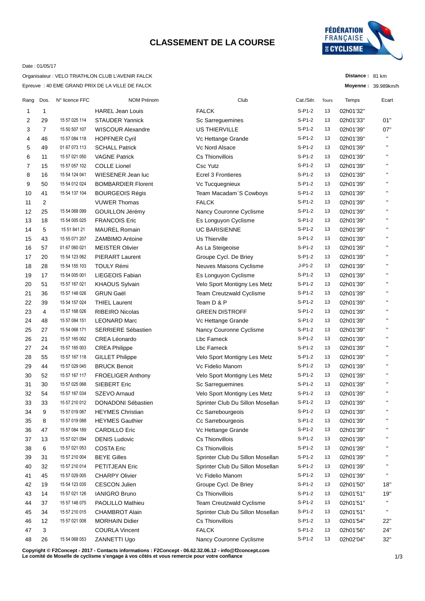## **CLASSEMENT DE LA COURSE**



**Distance :** 81 km **Moyenne :** 39.989km/h

### Date : 01/05/17

Epreuve : 40 EME GRAND PRIX DE LA VILLE DE FALCK Organisateur : VELO TRIATHLON CLUB L'AVENIR FALCK

| $S-P1-2$<br><b>FALCK</b><br>13<br>1<br><b>HAREL Jean Louis</b><br>02h01'32"<br>1<br>S-P1-2<br>29<br>15 57 025 114<br><b>STAUDER Yannick</b><br>Sc Sarreguemines<br>13<br>02h01'33"<br>01"<br>2<br>$\overline{7}$<br>15 50 507 107<br><b>US THIERVILLE</b><br>$S-P1-2$<br>07"<br><b>WISCOUR Alexandre</b><br>13<br>02h01'39"<br>3<br>$\mathbf{H}$<br>S-P1-2<br>13<br>46<br>15 57 084 118<br><b>HOPFNER Cyril</b><br>02h01'39"<br>Vc Hettange Grande<br>4<br>$S-P1-2$<br>п<br>13<br>5<br>49<br>01 67 073 113<br><b>SCHALL Patrick</b><br>Vc Nord Alsace<br>02h01'39"<br>$\mathbf{H}$<br>11<br>15 57 021 050<br><b>VAGNE Patrick</b><br>Cs Thionvillois<br>$S-P1-2$<br>13<br>6<br>02h01'39"<br>$\mathbf{H}$<br><b>COLLE Lionel</b><br><b>Csc Yutz</b><br>$S-P1-2$<br>15<br>15 57 057 102<br>13<br>02h01'39"<br>7<br>$\mathbf{H}$<br>$S-P1-2$<br>16<br>15 54 124 041<br>WIESENER Jean luc<br><b>Ecrel 3 Frontieres</b><br>8<br>13<br>02h01'39"<br>$\blacksquare$<br>$S-P1-2$<br>50<br>15 54 012 024<br><b>BOMBARDIER Florent</b><br>9<br>Vc Tucquegnieux<br>13<br>02h01'39"<br>$\mathbf{H}$<br>41<br>15 54 137 104<br><b>BOURGEOIS Régis</b><br>$S-P1-2$<br>02h01'39"<br>10<br>Team Macadam`S Cowboys<br>13<br>н.<br>$S-P1-2$<br>2<br><b>VUWER Thomas</b><br><b>FALCK</b><br>13<br>02h01'39"<br>11<br>$\mathbf{H}$<br>25<br>GOUILLON Jérémy<br>Nancy Couronne Cyclisme<br>$S-P1-2$<br>13<br>12<br>15 54 068 099<br>02h01'39"<br>$\mathbf{H}$<br>18<br>15 54 005 025<br><b>FRANCOIS Eric</b><br>Es Longuyon Cyclisme<br>$S-P1-2$<br>13<br>13<br>02h01'39"<br>$\mathbf{H}$<br>5<br>15 51 841 21<br><b>MAUREL Romain</b><br><b>UC BARISIENNE</b><br>$S-P1-2$<br>13<br>14<br>02h01'39"<br>$\mathbf{H}$<br>$S-P1-2$<br>43<br><b>ZAMBIMO Antoine</b><br>Us Thierville<br>13<br>15<br>15 55 071 207<br>02h01'39"<br>$\mathbf{H}$<br>$S-P1-2$<br>57<br>01 67 060 021<br><b>MEISTER Olivier</b><br>As La Steigeoise<br>13<br>16<br>02h01'39"<br>$\blacksquare$<br>$S-P1-2$<br>20<br>15 54 123 062<br><b>PIERART Laurent</b><br>Groupe Cycl. De Briey<br>13<br>02h01'39"<br>17<br>$\mathbf{H}$<br><b>TOULY Rémi</b><br>28<br>Neuves Maisons Cyclisme<br>J-P1-2<br>13<br>02h01'39"<br>18<br>15 54 155 103<br>$\blacksquare$<br>$S-P1-2$<br>17<br>LIEGEOIS Fabian<br>Es Longuyon Cyclisme<br>13<br>02h01'39"<br>19<br>15 54 005 001<br>$\mathbf{H}$<br>51<br>$S- P1-2$<br>13<br>20<br>15 57 167 021<br><b>KHAOUS Sylvain</b><br>Velo Sport Montigny Les Metz<br>02h01'39"<br>$\blacksquare$<br>36<br><b>GRUN Gaël</b><br>$S-P1-2$<br>13<br>21<br>15 57 148 026<br><b>Team Creutzwald Cyclisme</b><br>02h01'39"<br>$\mathbf{H}$<br>Team D & P<br>39<br><b>THIEL Laurent</b><br>$S-P1-2$<br>13<br>22<br>15 54 157 024<br>02h01'39"<br>$\blacksquare$<br>$S-P1-2$<br>4<br>RIBEIRO Nicolas<br><b>GREEN DISTROFF</b><br>13<br>23<br>15 57 168 026<br>02h01'39"<br>$\mathbf{H}$<br>$S-P1-2$<br>48<br><b>LEONARD Marc</b><br>13<br>24<br>15 57 084 151<br>Vc Hettange Grande<br>02h01'39"<br>S-P1-2<br>$\blacksquare$<br>27<br>15 54 068 171<br><b>SERRIERE Sébastien</b><br>Nancy Couronne Cyclisme<br>13<br>02h01'39"<br>25<br>$\mathbf{H}$<br>$S-P1-2$<br>13<br>21<br>15 57 165 002<br>CREA Léonardo<br>Lbc Fameck<br>02h01'39"<br>26<br>$\blacksquare$<br>$S-P1-2$<br>24<br>Lbc Fameck<br>13<br>02h01'39"<br>27<br>15 57 165 003<br><b>CREA Philippe</b><br>$\mathbf{H}$<br>$S-P1-2$<br>55<br>15 57 167 118<br>13<br>28<br><b>GILLET Philippe</b><br>Velo Sport Montigny Les Metz<br>02h01'39"<br>$\mathbf{H}$<br>$S-P1-2$<br>44<br>15 57 029 045<br><b>BRUCK Benoit</b><br>Vc Fidelio Manom<br>13<br>29<br>02h01'39"<br>$\mathbf{H}$<br>$S-P1-2$<br>13<br>52<br>15 57 167 117<br><b>FROELIGER Anthony</b><br>Velo Sport Montigny Les Metz<br>30<br>02h01'39"<br>$\blacksquare$<br>30<br>15 57 025 068<br>SIEBERT Eric<br>Sc Sarreguemines<br>$S-P1-2$<br>13<br>31<br>02h01'39"<br>$\mathbf{H}$<br>S-P1-2<br>32<br>54<br>15 57 167 034<br>SZEVO Arnaud<br>13<br>Velo Sport Montigny Les Metz<br>02h01'39"<br>$S-P1-2$<br>$\blacksquare$<br>15 57 210 012<br>13<br>33<br>33<br><b>DONADONI Sébastien</b><br>Sprinter Club Du Sillon Mosellan<br>02h01'39"<br>$\mathbf{H}$<br>$S-P1-2$<br>34<br>9<br>15 57 019 087<br>02h01'39"<br><b>HEYMES Christian</b><br>Cc Sarrebourgeois<br>13<br>п<br>15 57 019 088<br>S-P1-2<br>8<br><b>HEYMES Gauthier</b><br>Cc Sarrebourgeois<br>02h01'39"<br>35<br>13<br>п<br>15 57 084 189<br>Vc Hettange Grande<br>S-P1-2<br>47<br><b>CARDILLO Eric</b><br>13<br>02h01'39"<br>36<br>15 57 021 094<br><b>DENIS Ludovic</b><br>Cs Thionvillois<br>S-P1-2<br>37<br>13<br>13<br>02h01'39"<br>Cs Thionvillois<br>$S-P1-2$<br>15 57 021 053<br><b>COSTA Eric</b><br>02h01'39"<br>38<br>6<br>13<br>S-P1-2<br>15 57 210 004<br><b>BEYE Gilles</b><br>Sprinter Club Du Sillon Mosellan<br>02h01'39"<br>39<br>31<br>13<br>$S-P1-2$<br>32<br>15 57 210 014<br>PETITJEAN Eric<br>Sprinter Club Du Sillon Mosellan<br>02h01'39"<br>40<br>13<br><b>CHARPY Olivier</b><br>Vc Fidelio Manom<br>S-P1-2<br>02h01'39"<br>45<br>15 57 029 005<br>13<br>41<br>S-P1-2<br>19<br>15 54 123 035<br><b>CESCON Julien</b><br>Groupe Cycl. De Briey<br>02h01'50"<br>18"<br>42<br>13<br>S-P1-2<br>15 57 021 126<br><b>IANIGRO Bruno</b><br>Cs Thionvillois<br>02h01'51"<br>19"<br>43<br>14<br>13<br>н.<br>$S-P1-2$<br>PAOLILLO Mathieu<br>Team Creutzwald Cyclisme<br>37<br>15 57 148 075<br>13<br>02h01'51"<br>44<br><b>CHAMBROT Alain</b><br>Sprinter Club Du Sillon Mosellan<br>S-P1-2<br>34<br>15 57 210 015<br>13<br>02h01'51"<br>45<br>12<br><b>MORHAIN Didier</b><br>Cs Thionvillois<br>S-P1-2<br>02h01'54"<br>15 57 021 008<br>13<br>22"<br>46<br><b>FALCK</b><br>S-P1-2<br><b>COURLA Vincent</b><br>24"<br>3<br>13<br>02h01'56"<br>47<br>S-P1-2<br>15 54 068 053<br>ZANNETTI Ugo<br>Nancy Couronne Cyclisme<br>02h02'04"<br>32"<br>48<br>26<br>13 | Rang | Dos. | N° licence FFC | <b>NOM Prénom</b> | Club | Cat./Sér. | Tours | Temps | Ecart |
|-----------------------------------------------------------------------------------------------------------------------------------------------------------------------------------------------------------------------------------------------------------------------------------------------------------------------------------------------------------------------------------------------------------------------------------------------------------------------------------------------------------------------------------------------------------------------------------------------------------------------------------------------------------------------------------------------------------------------------------------------------------------------------------------------------------------------------------------------------------------------------------------------------------------------------------------------------------------------------------------------------------------------------------------------------------------------------------------------------------------------------------------------------------------------------------------------------------------------------------------------------------------------------------------------------------------------------------------------------------------------------------------------------------------------------------------------------------------------------------------------------------------------------------------------------------------------------------------------------------------------------------------------------------------------------------------------------------------------------------------------------------------------------------------------------------------------------------------------------------------------------------------------------------------------------------------------------------------------------------------------------------------------------------------------------------------------------------------------------------------------------------------------------------------------------------------------------------------------------------------------------------------------------------------------------------------------------------------------------------------------------------------------------------------------------------------------------------------------------------------------------------------------------------------------------------------------------------------------------------------------------------------------------------------------------------------------------------------------------------------------------------------------------------------------------------------------------------------------------------------------------------------------------------------------------------------------------------------------------------------------------------------------------------------------------------------------------------------------------------------------------------------------------------------------------------------------------------------------------------------------------------------------------------------------------------------------------------------------------------------------------------------------------------------------------------------------------------------------------------------------------------------------------------------------------------------------------------------------------------------------------------------------------------------------------------------------------------------------------------------------------------------------------------------------------------------------------------------------------------------------------------------------------------------------------------------------------------------------------------------------------------------------------------------------------------------------------------------------------------------------------------------------------------------------------------------------------------------------------------------------------------------------------------------------------------------------------------------------------------------------------------------------------------------------------------------------------------------------------------------------------------------------------------------------------------------------------------------------------------------------------------------------------------------------------------------------------------------------------------------------------------------------------------------------------------------------------------------------------------------------------------------------------------------------------------------------------------------------------------------------------------------------------------------------------------------------------------------------------------------------------------------------------------------------------------------------------------------------------------------------------------------------------------------------------------------------------------------------------------------------------------------------------------------------------------------------------------------------------------------------------------------------------------------------------------------------------------------------------------------------------------------------------------------------------------------------------------------------------------------------------------------------------------------------------------------------------------------|------|------|----------------|-------------------|------|-----------|-------|-------|-------|
|                                                                                                                                                                                                                                                                                                                                                                                                                                                                                                                                                                                                                                                                                                                                                                                                                                                                                                                                                                                                                                                                                                                                                                                                                                                                                                                                                                                                                                                                                                                                                                                                                                                                                                                                                                                                                                                                                                                                                                                                                                                                                                                                                                                                                                                                                                                                                                                                                                                                                                                                                                                                                                                                                                                                                                                                                                                                                                                                                                                                                                                                                                                                                                                                                                                                                                                                                                                                                                                                                                                                                                                                                                                                                                                                                                                                                                                                                                                                                                                                                                                                                                                                                                                                                                                                                                                                                                                                                                                                                                                                                                                                                                                                                                                                                                                                                                                                                                                                                                                                                                                                                                                                                                                                                                                                                                                                                                                                                                                                                                                                                                                                                                                                                                                                                                                                                                         |      |      |                |                   |      |           |       |       |       |
|                                                                                                                                                                                                                                                                                                                                                                                                                                                                                                                                                                                                                                                                                                                                                                                                                                                                                                                                                                                                                                                                                                                                                                                                                                                                                                                                                                                                                                                                                                                                                                                                                                                                                                                                                                                                                                                                                                                                                                                                                                                                                                                                                                                                                                                                                                                                                                                                                                                                                                                                                                                                                                                                                                                                                                                                                                                                                                                                                                                                                                                                                                                                                                                                                                                                                                                                                                                                                                                                                                                                                                                                                                                                                                                                                                                                                                                                                                                                                                                                                                                                                                                                                                                                                                                                                                                                                                                                                                                                                                                                                                                                                                                                                                                                                                                                                                                                                                                                                                                                                                                                                                                                                                                                                                                                                                                                                                                                                                                                                                                                                                                                                                                                                                                                                                                                                                         |      |      |                |                   |      |           |       |       |       |
|                                                                                                                                                                                                                                                                                                                                                                                                                                                                                                                                                                                                                                                                                                                                                                                                                                                                                                                                                                                                                                                                                                                                                                                                                                                                                                                                                                                                                                                                                                                                                                                                                                                                                                                                                                                                                                                                                                                                                                                                                                                                                                                                                                                                                                                                                                                                                                                                                                                                                                                                                                                                                                                                                                                                                                                                                                                                                                                                                                                                                                                                                                                                                                                                                                                                                                                                                                                                                                                                                                                                                                                                                                                                                                                                                                                                                                                                                                                                                                                                                                                                                                                                                                                                                                                                                                                                                                                                                                                                                                                                                                                                                                                                                                                                                                                                                                                                                                                                                                                                                                                                                                                                                                                                                                                                                                                                                                                                                                                                                                                                                                                                                                                                                                                                                                                                                                         |      |      |                |                   |      |           |       |       |       |
|                                                                                                                                                                                                                                                                                                                                                                                                                                                                                                                                                                                                                                                                                                                                                                                                                                                                                                                                                                                                                                                                                                                                                                                                                                                                                                                                                                                                                                                                                                                                                                                                                                                                                                                                                                                                                                                                                                                                                                                                                                                                                                                                                                                                                                                                                                                                                                                                                                                                                                                                                                                                                                                                                                                                                                                                                                                                                                                                                                                                                                                                                                                                                                                                                                                                                                                                                                                                                                                                                                                                                                                                                                                                                                                                                                                                                                                                                                                                                                                                                                                                                                                                                                                                                                                                                                                                                                                                                                                                                                                                                                                                                                                                                                                                                                                                                                                                                                                                                                                                                                                                                                                                                                                                                                                                                                                                                                                                                                                                                                                                                                                                                                                                                                                                                                                                                                         |      |      |                |                   |      |           |       |       |       |
|                                                                                                                                                                                                                                                                                                                                                                                                                                                                                                                                                                                                                                                                                                                                                                                                                                                                                                                                                                                                                                                                                                                                                                                                                                                                                                                                                                                                                                                                                                                                                                                                                                                                                                                                                                                                                                                                                                                                                                                                                                                                                                                                                                                                                                                                                                                                                                                                                                                                                                                                                                                                                                                                                                                                                                                                                                                                                                                                                                                                                                                                                                                                                                                                                                                                                                                                                                                                                                                                                                                                                                                                                                                                                                                                                                                                                                                                                                                                                                                                                                                                                                                                                                                                                                                                                                                                                                                                                                                                                                                                                                                                                                                                                                                                                                                                                                                                                                                                                                                                                                                                                                                                                                                                                                                                                                                                                                                                                                                                                                                                                                                                                                                                                                                                                                                                                                         |      |      |                |                   |      |           |       |       |       |
|                                                                                                                                                                                                                                                                                                                                                                                                                                                                                                                                                                                                                                                                                                                                                                                                                                                                                                                                                                                                                                                                                                                                                                                                                                                                                                                                                                                                                                                                                                                                                                                                                                                                                                                                                                                                                                                                                                                                                                                                                                                                                                                                                                                                                                                                                                                                                                                                                                                                                                                                                                                                                                                                                                                                                                                                                                                                                                                                                                                                                                                                                                                                                                                                                                                                                                                                                                                                                                                                                                                                                                                                                                                                                                                                                                                                                                                                                                                                                                                                                                                                                                                                                                                                                                                                                                                                                                                                                                                                                                                                                                                                                                                                                                                                                                                                                                                                                                                                                                                                                                                                                                                                                                                                                                                                                                                                                                                                                                                                                                                                                                                                                                                                                                                                                                                                                                         |      |      |                |                   |      |           |       |       |       |
|                                                                                                                                                                                                                                                                                                                                                                                                                                                                                                                                                                                                                                                                                                                                                                                                                                                                                                                                                                                                                                                                                                                                                                                                                                                                                                                                                                                                                                                                                                                                                                                                                                                                                                                                                                                                                                                                                                                                                                                                                                                                                                                                                                                                                                                                                                                                                                                                                                                                                                                                                                                                                                                                                                                                                                                                                                                                                                                                                                                                                                                                                                                                                                                                                                                                                                                                                                                                                                                                                                                                                                                                                                                                                                                                                                                                                                                                                                                                                                                                                                                                                                                                                                                                                                                                                                                                                                                                                                                                                                                                                                                                                                                                                                                                                                                                                                                                                                                                                                                                                                                                                                                                                                                                                                                                                                                                                                                                                                                                                                                                                                                                                                                                                                                                                                                                                                         |      |      |                |                   |      |           |       |       |       |
|                                                                                                                                                                                                                                                                                                                                                                                                                                                                                                                                                                                                                                                                                                                                                                                                                                                                                                                                                                                                                                                                                                                                                                                                                                                                                                                                                                                                                                                                                                                                                                                                                                                                                                                                                                                                                                                                                                                                                                                                                                                                                                                                                                                                                                                                                                                                                                                                                                                                                                                                                                                                                                                                                                                                                                                                                                                                                                                                                                                                                                                                                                                                                                                                                                                                                                                                                                                                                                                                                                                                                                                                                                                                                                                                                                                                                                                                                                                                                                                                                                                                                                                                                                                                                                                                                                                                                                                                                                                                                                                                                                                                                                                                                                                                                                                                                                                                                                                                                                                                                                                                                                                                                                                                                                                                                                                                                                                                                                                                                                                                                                                                                                                                                                                                                                                                                                         |      |      |                |                   |      |           |       |       |       |
|                                                                                                                                                                                                                                                                                                                                                                                                                                                                                                                                                                                                                                                                                                                                                                                                                                                                                                                                                                                                                                                                                                                                                                                                                                                                                                                                                                                                                                                                                                                                                                                                                                                                                                                                                                                                                                                                                                                                                                                                                                                                                                                                                                                                                                                                                                                                                                                                                                                                                                                                                                                                                                                                                                                                                                                                                                                                                                                                                                                                                                                                                                                                                                                                                                                                                                                                                                                                                                                                                                                                                                                                                                                                                                                                                                                                                                                                                                                                                                                                                                                                                                                                                                                                                                                                                                                                                                                                                                                                                                                                                                                                                                                                                                                                                                                                                                                                                                                                                                                                                                                                                                                                                                                                                                                                                                                                                                                                                                                                                                                                                                                                                                                                                                                                                                                                                                         |      |      |                |                   |      |           |       |       |       |
|                                                                                                                                                                                                                                                                                                                                                                                                                                                                                                                                                                                                                                                                                                                                                                                                                                                                                                                                                                                                                                                                                                                                                                                                                                                                                                                                                                                                                                                                                                                                                                                                                                                                                                                                                                                                                                                                                                                                                                                                                                                                                                                                                                                                                                                                                                                                                                                                                                                                                                                                                                                                                                                                                                                                                                                                                                                                                                                                                                                                                                                                                                                                                                                                                                                                                                                                                                                                                                                                                                                                                                                                                                                                                                                                                                                                                                                                                                                                                                                                                                                                                                                                                                                                                                                                                                                                                                                                                                                                                                                                                                                                                                                                                                                                                                                                                                                                                                                                                                                                                                                                                                                                                                                                                                                                                                                                                                                                                                                                                                                                                                                                                                                                                                                                                                                                                                         |      |      |                |                   |      |           |       |       |       |
|                                                                                                                                                                                                                                                                                                                                                                                                                                                                                                                                                                                                                                                                                                                                                                                                                                                                                                                                                                                                                                                                                                                                                                                                                                                                                                                                                                                                                                                                                                                                                                                                                                                                                                                                                                                                                                                                                                                                                                                                                                                                                                                                                                                                                                                                                                                                                                                                                                                                                                                                                                                                                                                                                                                                                                                                                                                                                                                                                                                                                                                                                                                                                                                                                                                                                                                                                                                                                                                                                                                                                                                                                                                                                                                                                                                                                                                                                                                                                                                                                                                                                                                                                                                                                                                                                                                                                                                                                                                                                                                                                                                                                                                                                                                                                                                                                                                                                                                                                                                                                                                                                                                                                                                                                                                                                                                                                                                                                                                                                                                                                                                                                                                                                                                                                                                                                                         |      |      |                |                   |      |           |       |       |       |
|                                                                                                                                                                                                                                                                                                                                                                                                                                                                                                                                                                                                                                                                                                                                                                                                                                                                                                                                                                                                                                                                                                                                                                                                                                                                                                                                                                                                                                                                                                                                                                                                                                                                                                                                                                                                                                                                                                                                                                                                                                                                                                                                                                                                                                                                                                                                                                                                                                                                                                                                                                                                                                                                                                                                                                                                                                                                                                                                                                                                                                                                                                                                                                                                                                                                                                                                                                                                                                                                                                                                                                                                                                                                                                                                                                                                                                                                                                                                                                                                                                                                                                                                                                                                                                                                                                                                                                                                                                                                                                                                                                                                                                                                                                                                                                                                                                                                                                                                                                                                                                                                                                                                                                                                                                                                                                                                                                                                                                                                                                                                                                                                                                                                                                                                                                                                                                         |      |      |                |                   |      |           |       |       |       |
|                                                                                                                                                                                                                                                                                                                                                                                                                                                                                                                                                                                                                                                                                                                                                                                                                                                                                                                                                                                                                                                                                                                                                                                                                                                                                                                                                                                                                                                                                                                                                                                                                                                                                                                                                                                                                                                                                                                                                                                                                                                                                                                                                                                                                                                                                                                                                                                                                                                                                                                                                                                                                                                                                                                                                                                                                                                                                                                                                                                                                                                                                                                                                                                                                                                                                                                                                                                                                                                                                                                                                                                                                                                                                                                                                                                                                                                                                                                                                                                                                                                                                                                                                                                                                                                                                                                                                                                                                                                                                                                                                                                                                                                                                                                                                                                                                                                                                                                                                                                                                                                                                                                                                                                                                                                                                                                                                                                                                                                                                                                                                                                                                                                                                                                                                                                                                                         |      |      |                |                   |      |           |       |       |       |
|                                                                                                                                                                                                                                                                                                                                                                                                                                                                                                                                                                                                                                                                                                                                                                                                                                                                                                                                                                                                                                                                                                                                                                                                                                                                                                                                                                                                                                                                                                                                                                                                                                                                                                                                                                                                                                                                                                                                                                                                                                                                                                                                                                                                                                                                                                                                                                                                                                                                                                                                                                                                                                                                                                                                                                                                                                                                                                                                                                                                                                                                                                                                                                                                                                                                                                                                                                                                                                                                                                                                                                                                                                                                                                                                                                                                                                                                                                                                                                                                                                                                                                                                                                                                                                                                                                                                                                                                                                                                                                                                                                                                                                                                                                                                                                                                                                                                                                                                                                                                                                                                                                                                                                                                                                                                                                                                                                                                                                                                                                                                                                                                                                                                                                                                                                                                                                         |      |      |                |                   |      |           |       |       |       |
|                                                                                                                                                                                                                                                                                                                                                                                                                                                                                                                                                                                                                                                                                                                                                                                                                                                                                                                                                                                                                                                                                                                                                                                                                                                                                                                                                                                                                                                                                                                                                                                                                                                                                                                                                                                                                                                                                                                                                                                                                                                                                                                                                                                                                                                                                                                                                                                                                                                                                                                                                                                                                                                                                                                                                                                                                                                                                                                                                                                                                                                                                                                                                                                                                                                                                                                                                                                                                                                                                                                                                                                                                                                                                                                                                                                                                                                                                                                                                                                                                                                                                                                                                                                                                                                                                                                                                                                                                                                                                                                                                                                                                                                                                                                                                                                                                                                                                                                                                                                                                                                                                                                                                                                                                                                                                                                                                                                                                                                                                                                                                                                                                                                                                                                                                                                                                                         |      |      |                |                   |      |           |       |       |       |
|                                                                                                                                                                                                                                                                                                                                                                                                                                                                                                                                                                                                                                                                                                                                                                                                                                                                                                                                                                                                                                                                                                                                                                                                                                                                                                                                                                                                                                                                                                                                                                                                                                                                                                                                                                                                                                                                                                                                                                                                                                                                                                                                                                                                                                                                                                                                                                                                                                                                                                                                                                                                                                                                                                                                                                                                                                                                                                                                                                                                                                                                                                                                                                                                                                                                                                                                                                                                                                                                                                                                                                                                                                                                                                                                                                                                                                                                                                                                                                                                                                                                                                                                                                                                                                                                                                                                                                                                                                                                                                                                                                                                                                                                                                                                                                                                                                                                                                                                                                                                                                                                                                                                                                                                                                                                                                                                                                                                                                                                                                                                                                                                                                                                                                                                                                                                                                         |      |      |                |                   |      |           |       |       |       |
|                                                                                                                                                                                                                                                                                                                                                                                                                                                                                                                                                                                                                                                                                                                                                                                                                                                                                                                                                                                                                                                                                                                                                                                                                                                                                                                                                                                                                                                                                                                                                                                                                                                                                                                                                                                                                                                                                                                                                                                                                                                                                                                                                                                                                                                                                                                                                                                                                                                                                                                                                                                                                                                                                                                                                                                                                                                                                                                                                                                                                                                                                                                                                                                                                                                                                                                                                                                                                                                                                                                                                                                                                                                                                                                                                                                                                                                                                                                                                                                                                                                                                                                                                                                                                                                                                                                                                                                                                                                                                                                                                                                                                                                                                                                                                                                                                                                                                                                                                                                                                                                                                                                                                                                                                                                                                                                                                                                                                                                                                                                                                                                                                                                                                                                                                                                                                                         |      |      |                |                   |      |           |       |       |       |
|                                                                                                                                                                                                                                                                                                                                                                                                                                                                                                                                                                                                                                                                                                                                                                                                                                                                                                                                                                                                                                                                                                                                                                                                                                                                                                                                                                                                                                                                                                                                                                                                                                                                                                                                                                                                                                                                                                                                                                                                                                                                                                                                                                                                                                                                                                                                                                                                                                                                                                                                                                                                                                                                                                                                                                                                                                                                                                                                                                                                                                                                                                                                                                                                                                                                                                                                                                                                                                                                                                                                                                                                                                                                                                                                                                                                                                                                                                                                                                                                                                                                                                                                                                                                                                                                                                                                                                                                                                                                                                                                                                                                                                                                                                                                                                                                                                                                                                                                                                                                                                                                                                                                                                                                                                                                                                                                                                                                                                                                                                                                                                                                                                                                                                                                                                                                                                         |      |      |                |                   |      |           |       |       |       |
|                                                                                                                                                                                                                                                                                                                                                                                                                                                                                                                                                                                                                                                                                                                                                                                                                                                                                                                                                                                                                                                                                                                                                                                                                                                                                                                                                                                                                                                                                                                                                                                                                                                                                                                                                                                                                                                                                                                                                                                                                                                                                                                                                                                                                                                                                                                                                                                                                                                                                                                                                                                                                                                                                                                                                                                                                                                                                                                                                                                                                                                                                                                                                                                                                                                                                                                                                                                                                                                                                                                                                                                                                                                                                                                                                                                                                                                                                                                                                                                                                                                                                                                                                                                                                                                                                                                                                                                                                                                                                                                                                                                                                                                                                                                                                                                                                                                                                                                                                                                                                                                                                                                                                                                                                                                                                                                                                                                                                                                                                                                                                                                                                                                                                                                                                                                                                                         |      |      |                |                   |      |           |       |       |       |
|                                                                                                                                                                                                                                                                                                                                                                                                                                                                                                                                                                                                                                                                                                                                                                                                                                                                                                                                                                                                                                                                                                                                                                                                                                                                                                                                                                                                                                                                                                                                                                                                                                                                                                                                                                                                                                                                                                                                                                                                                                                                                                                                                                                                                                                                                                                                                                                                                                                                                                                                                                                                                                                                                                                                                                                                                                                                                                                                                                                                                                                                                                                                                                                                                                                                                                                                                                                                                                                                                                                                                                                                                                                                                                                                                                                                                                                                                                                                                                                                                                                                                                                                                                                                                                                                                                                                                                                                                                                                                                                                                                                                                                                                                                                                                                                                                                                                                                                                                                                                                                                                                                                                                                                                                                                                                                                                                                                                                                                                                                                                                                                                                                                                                                                                                                                                                                         |      |      |                |                   |      |           |       |       |       |
|                                                                                                                                                                                                                                                                                                                                                                                                                                                                                                                                                                                                                                                                                                                                                                                                                                                                                                                                                                                                                                                                                                                                                                                                                                                                                                                                                                                                                                                                                                                                                                                                                                                                                                                                                                                                                                                                                                                                                                                                                                                                                                                                                                                                                                                                                                                                                                                                                                                                                                                                                                                                                                                                                                                                                                                                                                                                                                                                                                                                                                                                                                                                                                                                                                                                                                                                                                                                                                                                                                                                                                                                                                                                                                                                                                                                                                                                                                                                                                                                                                                                                                                                                                                                                                                                                                                                                                                                                                                                                                                                                                                                                                                                                                                                                                                                                                                                                                                                                                                                                                                                                                                                                                                                                                                                                                                                                                                                                                                                                                                                                                                                                                                                                                                                                                                                                                         |      |      |                |                   |      |           |       |       |       |
|                                                                                                                                                                                                                                                                                                                                                                                                                                                                                                                                                                                                                                                                                                                                                                                                                                                                                                                                                                                                                                                                                                                                                                                                                                                                                                                                                                                                                                                                                                                                                                                                                                                                                                                                                                                                                                                                                                                                                                                                                                                                                                                                                                                                                                                                                                                                                                                                                                                                                                                                                                                                                                                                                                                                                                                                                                                                                                                                                                                                                                                                                                                                                                                                                                                                                                                                                                                                                                                                                                                                                                                                                                                                                                                                                                                                                                                                                                                                                                                                                                                                                                                                                                                                                                                                                                                                                                                                                                                                                                                                                                                                                                                                                                                                                                                                                                                                                                                                                                                                                                                                                                                                                                                                                                                                                                                                                                                                                                                                                                                                                                                                                                                                                                                                                                                                                                         |      |      |                |                   |      |           |       |       |       |
|                                                                                                                                                                                                                                                                                                                                                                                                                                                                                                                                                                                                                                                                                                                                                                                                                                                                                                                                                                                                                                                                                                                                                                                                                                                                                                                                                                                                                                                                                                                                                                                                                                                                                                                                                                                                                                                                                                                                                                                                                                                                                                                                                                                                                                                                                                                                                                                                                                                                                                                                                                                                                                                                                                                                                                                                                                                                                                                                                                                                                                                                                                                                                                                                                                                                                                                                                                                                                                                                                                                                                                                                                                                                                                                                                                                                                                                                                                                                                                                                                                                                                                                                                                                                                                                                                                                                                                                                                                                                                                                                                                                                                                                                                                                                                                                                                                                                                                                                                                                                                                                                                                                                                                                                                                                                                                                                                                                                                                                                                                                                                                                                                                                                                                                                                                                                                                         |      |      |                |                   |      |           |       |       |       |
|                                                                                                                                                                                                                                                                                                                                                                                                                                                                                                                                                                                                                                                                                                                                                                                                                                                                                                                                                                                                                                                                                                                                                                                                                                                                                                                                                                                                                                                                                                                                                                                                                                                                                                                                                                                                                                                                                                                                                                                                                                                                                                                                                                                                                                                                                                                                                                                                                                                                                                                                                                                                                                                                                                                                                                                                                                                                                                                                                                                                                                                                                                                                                                                                                                                                                                                                                                                                                                                                                                                                                                                                                                                                                                                                                                                                                                                                                                                                                                                                                                                                                                                                                                                                                                                                                                                                                                                                                                                                                                                                                                                                                                                                                                                                                                                                                                                                                                                                                                                                                                                                                                                                                                                                                                                                                                                                                                                                                                                                                                                                                                                                                                                                                                                                                                                                                                         |      |      |                |                   |      |           |       |       |       |
|                                                                                                                                                                                                                                                                                                                                                                                                                                                                                                                                                                                                                                                                                                                                                                                                                                                                                                                                                                                                                                                                                                                                                                                                                                                                                                                                                                                                                                                                                                                                                                                                                                                                                                                                                                                                                                                                                                                                                                                                                                                                                                                                                                                                                                                                                                                                                                                                                                                                                                                                                                                                                                                                                                                                                                                                                                                                                                                                                                                                                                                                                                                                                                                                                                                                                                                                                                                                                                                                                                                                                                                                                                                                                                                                                                                                                                                                                                                                                                                                                                                                                                                                                                                                                                                                                                                                                                                                                                                                                                                                                                                                                                                                                                                                                                                                                                                                                                                                                                                                                                                                                                                                                                                                                                                                                                                                                                                                                                                                                                                                                                                                                                                                                                                                                                                                                                         |      |      |                |                   |      |           |       |       |       |
|                                                                                                                                                                                                                                                                                                                                                                                                                                                                                                                                                                                                                                                                                                                                                                                                                                                                                                                                                                                                                                                                                                                                                                                                                                                                                                                                                                                                                                                                                                                                                                                                                                                                                                                                                                                                                                                                                                                                                                                                                                                                                                                                                                                                                                                                                                                                                                                                                                                                                                                                                                                                                                                                                                                                                                                                                                                                                                                                                                                                                                                                                                                                                                                                                                                                                                                                                                                                                                                                                                                                                                                                                                                                                                                                                                                                                                                                                                                                                                                                                                                                                                                                                                                                                                                                                                                                                                                                                                                                                                                                                                                                                                                                                                                                                                                                                                                                                                                                                                                                                                                                                                                                                                                                                                                                                                                                                                                                                                                                                                                                                                                                                                                                                                                                                                                                                                         |      |      |                |                   |      |           |       |       |       |
|                                                                                                                                                                                                                                                                                                                                                                                                                                                                                                                                                                                                                                                                                                                                                                                                                                                                                                                                                                                                                                                                                                                                                                                                                                                                                                                                                                                                                                                                                                                                                                                                                                                                                                                                                                                                                                                                                                                                                                                                                                                                                                                                                                                                                                                                                                                                                                                                                                                                                                                                                                                                                                                                                                                                                                                                                                                                                                                                                                                                                                                                                                                                                                                                                                                                                                                                                                                                                                                                                                                                                                                                                                                                                                                                                                                                                                                                                                                                                                                                                                                                                                                                                                                                                                                                                                                                                                                                                                                                                                                                                                                                                                                                                                                                                                                                                                                                                                                                                                                                                                                                                                                                                                                                                                                                                                                                                                                                                                                                                                                                                                                                                                                                                                                                                                                                                                         |      |      |                |                   |      |           |       |       |       |
|                                                                                                                                                                                                                                                                                                                                                                                                                                                                                                                                                                                                                                                                                                                                                                                                                                                                                                                                                                                                                                                                                                                                                                                                                                                                                                                                                                                                                                                                                                                                                                                                                                                                                                                                                                                                                                                                                                                                                                                                                                                                                                                                                                                                                                                                                                                                                                                                                                                                                                                                                                                                                                                                                                                                                                                                                                                                                                                                                                                                                                                                                                                                                                                                                                                                                                                                                                                                                                                                                                                                                                                                                                                                                                                                                                                                                                                                                                                                                                                                                                                                                                                                                                                                                                                                                                                                                                                                                                                                                                                                                                                                                                                                                                                                                                                                                                                                                                                                                                                                                                                                                                                                                                                                                                                                                                                                                                                                                                                                                                                                                                                                                                                                                                                                                                                                                                         |      |      |                |                   |      |           |       |       |       |
|                                                                                                                                                                                                                                                                                                                                                                                                                                                                                                                                                                                                                                                                                                                                                                                                                                                                                                                                                                                                                                                                                                                                                                                                                                                                                                                                                                                                                                                                                                                                                                                                                                                                                                                                                                                                                                                                                                                                                                                                                                                                                                                                                                                                                                                                                                                                                                                                                                                                                                                                                                                                                                                                                                                                                                                                                                                                                                                                                                                                                                                                                                                                                                                                                                                                                                                                                                                                                                                                                                                                                                                                                                                                                                                                                                                                                                                                                                                                                                                                                                                                                                                                                                                                                                                                                                                                                                                                                                                                                                                                                                                                                                                                                                                                                                                                                                                                                                                                                                                                                                                                                                                                                                                                                                                                                                                                                                                                                                                                                                                                                                                                                                                                                                                                                                                                                                         |      |      |                |                   |      |           |       |       |       |
|                                                                                                                                                                                                                                                                                                                                                                                                                                                                                                                                                                                                                                                                                                                                                                                                                                                                                                                                                                                                                                                                                                                                                                                                                                                                                                                                                                                                                                                                                                                                                                                                                                                                                                                                                                                                                                                                                                                                                                                                                                                                                                                                                                                                                                                                                                                                                                                                                                                                                                                                                                                                                                                                                                                                                                                                                                                                                                                                                                                                                                                                                                                                                                                                                                                                                                                                                                                                                                                                                                                                                                                                                                                                                                                                                                                                                                                                                                                                                                                                                                                                                                                                                                                                                                                                                                                                                                                                                                                                                                                                                                                                                                                                                                                                                                                                                                                                                                                                                                                                                                                                                                                                                                                                                                                                                                                                                                                                                                                                                                                                                                                                                                                                                                                                                                                                                                         |      |      |                |                   |      |           |       |       |       |
|                                                                                                                                                                                                                                                                                                                                                                                                                                                                                                                                                                                                                                                                                                                                                                                                                                                                                                                                                                                                                                                                                                                                                                                                                                                                                                                                                                                                                                                                                                                                                                                                                                                                                                                                                                                                                                                                                                                                                                                                                                                                                                                                                                                                                                                                                                                                                                                                                                                                                                                                                                                                                                                                                                                                                                                                                                                                                                                                                                                                                                                                                                                                                                                                                                                                                                                                                                                                                                                                                                                                                                                                                                                                                                                                                                                                                                                                                                                                                                                                                                                                                                                                                                                                                                                                                                                                                                                                                                                                                                                                                                                                                                                                                                                                                                                                                                                                                                                                                                                                                                                                                                                                                                                                                                                                                                                                                                                                                                                                                                                                                                                                                                                                                                                                                                                                                                         |      |      |                |                   |      |           |       |       |       |
|                                                                                                                                                                                                                                                                                                                                                                                                                                                                                                                                                                                                                                                                                                                                                                                                                                                                                                                                                                                                                                                                                                                                                                                                                                                                                                                                                                                                                                                                                                                                                                                                                                                                                                                                                                                                                                                                                                                                                                                                                                                                                                                                                                                                                                                                                                                                                                                                                                                                                                                                                                                                                                                                                                                                                                                                                                                                                                                                                                                                                                                                                                                                                                                                                                                                                                                                                                                                                                                                                                                                                                                                                                                                                                                                                                                                                                                                                                                                                                                                                                                                                                                                                                                                                                                                                                                                                                                                                                                                                                                                                                                                                                                                                                                                                                                                                                                                                                                                                                                                                                                                                                                                                                                                                                                                                                                                                                                                                                                                                                                                                                                                                                                                                                                                                                                                                                         |      |      |                |                   |      |           |       |       |       |
|                                                                                                                                                                                                                                                                                                                                                                                                                                                                                                                                                                                                                                                                                                                                                                                                                                                                                                                                                                                                                                                                                                                                                                                                                                                                                                                                                                                                                                                                                                                                                                                                                                                                                                                                                                                                                                                                                                                                                                                                                                                                                                                                                                                                                                                                                                                                                                                                                                                                                                                                                                                                                                                                                                                                                                                                                                                                                                                                                                                                                                                                                                                                                                                                                                                                                                                                                                                                                                                                                                                                                                                                                                                                                                                                                                                                                                                                                                                                                                                                                                                                                                                                                                                                                                                                                                                                                                                                                                                                                                                                                                                                                                                                                                                                                                                                                                                                                                                                                                                                                                                                                                                                                                                                                                                                                                                                                                                                                                                                                                                                                                                                                                                                                                                                                                                                                                         |      |      |                |                   |      |           |       |       |       |
|                                                                                                                                                                                                                                                                                                                                                                                                                                                                                                                                                                                                                                                                                                                                                                                                                                                                                                                                                                                                                                                                                                                                                                                                                                                                                                                                                                                                                                                                                                                                                                                                                                                                                                                                                                                                                                                                                                                                                                                                                                                                                                                                                                                                                                                                                                                                                                                                                                                                                                                                                                                                                                                                                                                                                                                                                                                                                                                                                                                                                                                                                                                                                                                                                                                                                                                                                                                                                                                                                                                                                                                                                                                                                                                                                                                                                                                                                                                                                                                                                                                                                                                                                                                                                                                                                                                                                                                                                                                                                                                                                                                                                                                                                                                                                                                                                                                                                                                                                                                                                                                                                                                                                                                                                                                                                                                                                                                                                                                                                                                                                                                                                                                                                                                                                                                                                                         |      |      |                |                   |      |           |       |       |       |
|                                                                                                                                                                                                                                                                                                                                                                                                                                                                                                                                                                                                                                                                                                                                                                                                                                                                                                                                                                                                                                                                                                                                                                                                                                                                                                                                                                                                                                                                                                                                                                                                                                                                                                                                                                                                                                                                                                                                                                                                                                                                                                                                                                                                                                                                                                                                                                                                                                                                                                                                                                                                                                                                                                                                                                                                                                                                                                                                                                                                                                                                                                                                                                                                                                                                                                                                                                                                                                                                                                                                                                                                                                                                                                                                                                                                                                                                                                                                                                                                                                                                                                                                                                                                                                                                                                                                                                                                                                                                                                                                                                                                                                                                                                                                                                                                                                                                                                                                                                                                                                                                                                                                                                                                                                                                                                                                                                                                                                                                                                                                                                                                                                                                                                                                                                                                                                         |      |      |                |                   |      |           |       |       |       |
|                                                                                                                                                                                                                                                                                                                                                                                                                                                                                                                                                                                                                                                                                                                                                                                                                                                                                                                                                                                                                                                                                                                                                                                                                                                                                                                                                                                                                                                                                                                                                                                                                                                                                                                                                                                                                                                                                                                                                                                                                                                                                                                                                                                                                                                                                                                                                                                                                                                                                                                                                                                                                                                                                                                                                                                                                                                                                                                                                                                                                                                                                                                                                                                                                                                                                                                                                                                                                                                                                                                                                                                                                                                                                                                                                                                                                                                                                                                                                                                                                                                                                                                                                                                                                                                                                                                                                                                                                                                                                                                                                                                                                                                                                                                                                                                                                                                                                                                                                                                                                                                                                                                                                                                                                                                                                                                                                                                                                                                                                                                                                                                                                                                                                                                                                                                                                                         |      |      |                |                   |      |           |       |       |       |
|                                                                                                                                                                                                                                                                                                                                                                                                                                                                                                                                                                                                                                                                                                                                                                                                                                                                                                                                                                                                                                                                                                                                                                                                                                                                                                                                                                                                                                                                                                                                                                                                                                                                                                                                                                                                                                                                                                                                                                                                                                                                                                                                                                                                                                                                                                                                                                                                                                                                                                                                                                                                                                                                                                                                                                                                                                                                                                                                                                                                                                                                                                                                                                                                                                                                                                                                                                                                                                                                                                                                                                                                                                                                                                                                                                                                                                                                                                                                                                                                                                                                                                                                                                                                                                                                                                                                                                                                                                                                                                                                                                                                                                                                                                                                                                                                                                                                                                                                                                                                                                                                                                                                                                                                                                                                                                                                                                                                                                                                                                                                                                                                                                                                                                                                                                                                                                         |      |      |                |                   |      |           |       |       |       |
|                                                                                                                                                                                                                                                                                                                                                                                                                                                                                                                                                                                                                                                                                                                                                                                                                                                                                                                                                                                                                                                                                                                                                                                                                                                                                                                                                                                                                                                                                                                                                                                                                                                                                                                                                                                                                                                                                                                                                                                                                                                                                                                                                                                                                                                                                                                                                                                                                                                                                                                                                                                                                                                                                                                                                                                                                                                                                                                                                                                                                                                                                                                                                                                                                                                                                                                                                                                                                                                                                                                                                                                                                                                                                                                                                                                                                                                                                                                                                                                                                                                                                                                                                                                                                                                                                                                                                                                                                                                                                                                                                                                                                                                                                                                                                                                                                                                                                                                                                                                                                                                                                                                                                                                                                                                                                                                                                                                                                                                                                                                                                                                                                                                                                                                                                                                                                                         |      |      |                |                   |      |           |       |       |       |
|                                                                                                                                                                                                                                                                                                                                                                                                                                                                                                                                                                                                                                                                                                                                                                                                                                                                                                                                                                                                                                                                                                                                                                                                                                                                                                                                                                                                                                                                                                                                                                                                                                                                                                                                                                                                                                                                                                                                                                                                                                                                                                                                                                                                                                                                                                                                                                                                                                                                                                                                                                                                                                                                                                                                                                                                                                                                                                                                                                                                                                                                                                                                                                                                                                                                                                                                                                                                                                                                                                                                                                                                                                                                                                                                                                                                                                                                                                                                                                                                                                                                                                                                                                                                                                                                                                                                                                                                                                                                                                                                                                                                                                                                                                                                                                                                                                                                                                                                                                                                                                                                                                                                                                                                                                                                                                                                                                                                                                                                                                                                                                                                                                                                                                                                                                                                                                         |      |      |                |                   |      |           |       |       |       |
|                                                                                                                                                                                                                                                                                                                                                                                                                                                                                                                                                                                                                                                                                                                                                                                                                                                                                                                                                                                                                                                                                                                                                                                                                                                                                                                                                                                                                                                                                                                                                                                                                                                                                                                                                                                                                                                                                                                                                                                                                                                                                                                                                                                                                                                                                                                                                                                                                                                                                                                                                                                                                                                                                                                                                                                                                                                                                                                                                                                                                                                                                                                                                                                                                                                                                                                                                                                                                                                                                                                                                                                                                                                                                                                                                                                                                                                                                                                                                                                                                                                                                                                                                                                                                                                                                                                                                                                                                                                                                                                                                                                                                                                                                                                                                                                                                                                                                                                                                                                                                                                                                                                                                                                                                                                                                                                                                                                                                                                                                                                                                                                                                                                                                                                                                                                                                                         |      |      |                |                   |      |           |       |       |       |
|                                                                                                                                                                                                                                                                                                                                                                                                                                                                                                                                                                                                                                                                                                                                                                                                                                                                                                                                                                                                                                                                                                                                                                                                                                                                                                                                                                                                                                                                                                                                                                                                                                                                                                                                                                                                                                                                                                                                                                                                                                                                                                                                                                                                                                                                                                                                                                                                                                                                                                                                                                                                                                                                                                                                                                                                                                                                                                                                                                                                                                                                                                                                                                                                                                                                                                                                                                                                                                                                                                                                                                                                                                                                                                                                                                                                                                                                                                                                                                                                                                                                                                                                                                                                                                                                                                                                                                                                                                                                                                                                                                                                                                                                                                                                                                                                                                                                                                                                                                                                                                                                                                                                                                                                                                                                                                                                                                                                                                                                                                                                                                                                                                                                                                                                                                                                                                         |      |      |                |                   |      |           |       |       |       |
|                                                                                                                                                                                                                                                                                                                                                                                                                                                                                                                                                                                                                                                                                                                                                                                                                                                                                                                                                                                                                                                                                                                                                                                                                                                                                                                                                                                                                                                                                                                                                                                                                                                                                                                                                                                                                                                                                                                                                                                                                                                                                                                                                                                                                                                                                                                                                                                                                                                                                                                                                                                                                                                                                                                                                                                                                                                                                                                                                                                                                                                                                                                                                                                                                                                                                                                                                                                                                                                                                                                                                                                                                                                                                                                                                                                                                                                                                                                                                                                                                                                                                                                                                                                                                                                                                                                                                                                                                                                                                                                                                                                                                                                                                                                                                                                                                                                                                                                                                                                                                                                                                                                                                                                                                                                                                                                                                                                                                                                                                                                                                                                                                                                                                                                                                                                                                                         |      |      |                |                   |      |           |       |       |       |
|                                                                                                                                                                                                                                                                                                                                                                                                                                                                                                                                                                                                                                                                                                                                                                                                                                                                                                                                                                                                                                                                                                                                                                                                                                                                                                                                                                                                                                                                                                                                                                                                                                                                                                                                                                                                                                                                                                                                                                                                                                                                                                                                                                                                                                                                                                                                                                                                                                                                                                                                                                                                                                                                                                                                                                                                                                                                                                                                                                                                                                                                                                                                                                                                                                                                                                                                                                                                                                                                                                                                                                                                                                                                                                                                                                                                                                                                                                                                                                                                                                                                                                                                                                                                                                                                                                                                                                                                                                                                                                                                                                                                                                                                                                                                                                                                                                                                                                                                                                                                                                                                                                                                                                                                                                                                                                                                                                                                                                                                                                                                                                                                                                                                                                                                                                                                                                         |      |      |                |                   |      |           |       |       |       |
|                                                                                                                                                                                                                                                                                                                                                                                                                                                                                                                                                                                                                                                                                                                                                                                                                                                                                                                                                                                                                                                                                                                                                                                                                                                                                                                                                                                                                                                                                                                                                                                                                                                                                                                                                                                                                                                                                                                                                                                                                                                                                                                                                                                                                                                                                                                                                                                                                                                                                                                                                                                                                                                                                                                                                                                                                                                                                                                                                                                                                                                                                                                                                                                                                                                                                                                                                                                                                                                                                                                                                                                                                                                                                                                                                                                                                                                                                                                                                                                                                                                                                                                                                                                                                                                                                                                                                                                                                                                                                                                                                                                                                                                                                                                                                                                                                                                                                                                                                                                                                                                                                                                                                                                                                                                                                                                                                                                                                                                                                                                                                                                                                                                                                                                                                                                                                                         |      |      |                |                   |      |           |       |       |       |
|                                                                                                                                                                                                                                                                                                                                                                                                                                                                                                                                                                                                                                                                                                                                                                                                                                                                                                                                                                                                                                                                                                                                                                                                                                                                                                                                                                                                                                                                                                                                                                                                                                                                                                                                                                                                                                                                                                                                                                                                                                                                                                                                                                                                                                                                                                                                                                                                                                                                                                                                                                                                                                                                                                                                                                                                                                                                                                                                                                                                                                                                                                                                                                                                                                                                                                                                                                                                                                                                                                                                                                                                                                                                                                                                                                                                                                                                                                                                                                                                                                                                                                                                                                                                                                                                                                                                                                                                                                                                                                                                                                                                                                                                                                                                                                                                                                                                                                                                                                                                                                                                                                                                                                                                                                                                                                                                                                                                                                                                                                                                                                                                                                                                                                                                                                                                                                         |      |      |                |                   |      |           |       |       |       |
|                                                                                                                                                                                                                                                                                                                                                                                                                                                                                                                                                                                                                                                                                                                                                                                                                                                                                                                                                                                                                                                                                                                                                                                                                                                                                                                                                                                                                                                                                                                                                                                                                                                                                                                                                                                                                                                                                                                                                                                                                                                                                                                                                                                                                                                                                                                                                                                                                                                                                                                                                                                                                                                                                                                                                                                                                                                                                                                                                                                                                                                                                                                                                                                                                                                                                                                                                                                                                                                                                                                                                                                                                                                                                                                                                                                                                                                                                                                                                                                                                                                                                                                                                                                                                                                                                                                                                                                                                                                                                                                                                                                                                                                                                                                                                                                                                                                                                                                                                                                                                                                                                                                                                                                                                                                                                                                                                                                                                                                                                                                                                                                                                                                                                                                                                                                                                                         |      |      |                |                   |      |           |       |       |       |
|                                                                                                                                                                                                                                                                                                                                                                                                                                                                                                                                                                                                                                                                                                                                                                                                                                                                                                                                                                                                                                                                                                                                                                                                                                                                                                                                                                                                                                                                                                                                                                                                                                                                                                                                                                                                                                                                                                                                                                                                                                                                                                                                                                                                                                                                                                                                                                                                                                                                                                                                                                                                                                                                                                                                                                                                                                                                                                                                                                                                                                                                                                                                                                                                                                                                                                                                                                                                                                                                                                                                                                                                                                                                                                                                                                                                                                                                                                                                                                                                                                                                                                                                                                                                                                                                                                                                                                                                                                                                                                                                                                                                                                                                                                                                                                                                                                                                                                                                                                                                                                                                                                                                                                                                                                                                                                                                                                                                                                                                                                                                                                                                                                                                                                                                                                                                                                         |      |      |                |                   |      |           |       |       |       |
|                                                                                                                                                                                                                                                                                                                                                                                                                                                                                                                                                                                                                                                                                                                                                                                                                                                                                                                                                                                                                                                                                                                                                                                                                                                                                                                                                                                                                                                                                                                                                                                                                                                                                                                                                                                                                                                                                                                                                                                                                                                                                                                                                                                                                                                                                                                                                                                                                                                                                                                                                                                                                                                                                                                                                                                                                                                                                                                                                                                                                                                                                                                                                                                                                                                                                                                                                                                                                                                                                                                                                                                                                                                                                                                                                                                                                                                                                                                                                                                                                                                                                                                                                                                                                                                                                                                                                                                                                                                                                                                                                                                                                                                                                                                                                                                                                                                                                                                                                                                                                                                                                                                                                                                                                                                                                                                                                                                                                                                                                                                                                                                                                                                                                                                                                                                                                                         |      |      |                |                   |      |           |       |       |       |

**Copyright © F2Concept - 2017 - Contacts informations : F2Concept - 06.62.32.06.12 - info@f2concept.com Le comité de Moselle de cyclisme s'engage à vos côtés et vous remercie pour votre confiance**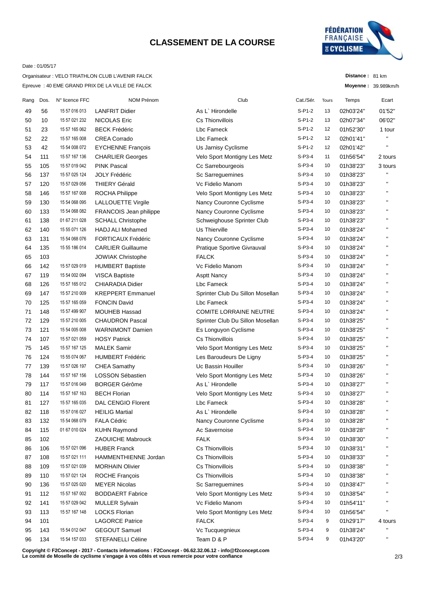## **CLASSEMENT DE LA COURSE**



**Distance :** 81 km **Moyenne :** 39.989km/h

### Date : 01/05/17

Epreuve : 40 EME GRAND PRIX DE LA VILLE DE FALCK Organisateur : VELO TRIATHLON CLUB L'AVENIR FALCK

| Rang | Dos. | N° licence FFC | NOM Prénom                | Club                             | Cat./Sér. | Tours | Temps     | Ecart              |
|------|------|----------------|---------------------------|----------------------------------|-----------|-------|-----------|--------------------|
| 49   | 56   | 15 57 016 013  | <b>LANFRIT Didier</b>     | As L` Hirondelle                 | $S-P1-2$  | 13    | 02h03'24" | 01'52"             |
| 50   | 10   | 15 57 021 232  | <b>NICOLAS Eric</b>       | Cs Thionvillois                  | $S-P1-2$  | 13    | 02h07'34" | 06'02"             |
| 51   | 23   | 15 57 165 062  | <b>BECK Frédéric</b>      | Lbc Fameck                       | $S-P1-2$  | 12    | 01h52'30" | 1 tour             |
| 52   | 22   | 15 57 165 008  | <b>CREA Corrado</b>       | Lbc Fameck                       | $S-P1-2$  | 12    | 02h01'41" | п                  |
| 53   | 42   | 15 54 008 072  | <b>EYCHENNE François</b>  | Us Jarnisy Cyclisme              | $S-P1-2$  | 12    | 02h01'42" | $\blacksquare$     |
| 54   | 111  | 15 57 167 136  | <b>CHARLIER Georges</b>   | Velo Sport Montigny Les Metz     | $S-P3-4$  | 11    | 01h56'54" | 2 tours            |
| 55   | 105  | 15 57 019 042  | <b>PINK Pascal</b>        | Cc Sarrebourgeois                | $S-P3-4$  | 10    | 01h38'23" | 3 tours            |
| 56   | 137  | 15 57 025 124  | <b>JOLY Frédéric</b>      | Sc Sarreguemines                 | $S-P3-4$  | 10    | 01h38'23" | $\mathbf{H}$       |
| 57   | 120  | 15 57 029 056  | <b>THIERY Gérald</b>      | Vc Fidelio Manom                 | $S-P3-4$  | 10    | 01h38'23" | $\mathbf{H}$       |
| 58   | 146  | 15 57 167 008  | ROCHA Philippe            | Velo Sport Montigny Les Metz     | $S-P3-4$  | 10    | 01h38'23" | $\mathbf{H}$       |
| 59   | 130  | 15 54 068 095  | LALLOUETTE Virgile        | Nancy Couronne Cyclisme          | $S-P3-4$  | 10    | 01h38'23" | $\mathbf{H}$       |
| 60   | 133  | 15 54 068 082  | FRANCOIS Jean philippe    | Nancy Couronne Cyclisme          | $S-P3-4$  | 10    | 01h38'23" | $\mathbf{H}$       |
| 61   | 138  | 01 67 211 028  | <b>SCHALL Christophe</b>  | Schweighouse Sprinter Club       | $S-P3-4$  | 10    | 01h38'23" | $\pmb{\mathsf{H}}$ |
| 62   | 140  | 15 55 071 126  | <b>HADJ ALI Mohamed</b>   | Us Thierville                    | $S-P3-4$  | 10    | 01h38'24" | $\mathbf{H}$       |
| 63   | 131  | 15 54 068 076  | <b>FORTICAUX Frédéric</b> | Nancy Couronne Cyclisme          | $S-P3-4$  | 10    | 01h38'24" | $\mathbf{H}$       |
| 64   | 135  | 15 55 186 014  | <b>CARLIER Guillaume</b>  | Pratique Sportive Givrauval      | $S-P3-4$  | 10    | 01h38'24" | $\mathbf{H}$       |
| 65   | 103  |                | <b>JOWIAK Christophe</b>  | <b>FALCK</b>                     | $S-P3-4$  | 10    | 01h38'24" | $\mathbf{H}$       |
| 66   | 142  | 15 57 029 019  | <b>HUMBERT Baptiste</b>   | Vc Fidelio Manom                 | $S-P3-4$  | 10    | 01h38'24" | $\mathbf{H}$       |
| 67   | 119  | 15 54 002 094  | <b>VISCA Baptiste</b>     | <b>Asptt Nancy</b>               | $S-P3-4$  | 10    | 01h38'24" | $\mathbf{H}$       |
| 68   | 126  | 15 57 165 012  | <b>CHIARADIA Didier</b>   | Lbc Fameck                       | $S-P3-4$  | 10    | 01h38'24" | $\pmb{\mathsf{H}}$ |
| 69   | 147  | 15 57 210 009  | <b>KREPPERT Emmanuel</b>  | Sprinter Club Du Sillon Mosellan | $S-P3-4$  | 10    | 01h38'24" | $\pmb{\mathsf{H}}$ |
| 70   | 125  | 15 57 165 059  | <b>FONCIN David</b>       | Lbc Fameck                       | $S-P3-4$  | 10    | 01h38'24" | $\blacksquare$     |
| 71   | 148  | 15 57 499 907  | <b>MOUHEB Hassad</b>      | <b>COMITE LORRAINE NEUTRE</b>    | $S-P3-4$  | 10    | 01h38'24" | $\mathbf{H}$       |
| 72   | 129  | 15 57 210 005  | <b>CHAUDRON Pascal</b>    | Sprinter Club Du Sillon Mosellan | $S-P3-4$  | 10    | 01h38'25" | $\mathbf{H}$       |
| 73   | 121  | 15 54 005 008  | <b>WARNIMONT Damien</b>   | Es Longuyon Cyclisme             | $S-P3-4$  | 10    | 01h38'25" | $\mathbf{H}$       |
| 74   | 107  | 15 57 021 059  | <b>HOSY Patrick</b>       | Cs Thionvillois                  | $S-P3-4$  | 10    | 01h38'25" | п                  |
| 75   | 145  | 15 57 167 125  | <b>MALEK Samir</b>        | Velo Sport Montigny Les Metz     | $S-P3-4$  | 10    | 01h38'25" | $\blacksquare$     |
| 76   | 124  | 15 55 074 067  | <b>HUMBERT Frédéric</b>   | Les Baroudeurs De Ligny          | $S-P3-4$  | 10    | 01h38'25" | п                  |
| 77   | 139  | 15 57 026 197  | CHEA Samathy              | Uc Bassin Houiller               | $S-P3-4$  | 10    | 01h38'26" | $\mathbf{H}$       |
| 78   | 144  | 15 57 167 156  | <b>LOSSON Sébastien</b>   | Velo Sport Montigny Les Metz     | $S-P3-4$  | 10    | 01h38'26" | $\mathbf{H}$       |
| 79   | 117  | 15 57 016 049  | <b>BORGER Gérôme</b>      | As L' Hirondelle                 | $S-P3-4$  | 10    | 01h38'27" | $\mathbf{H}$       |
| 80   | 114  | 15 57 167 163  | <b>BECH Florian</b>       | Velo Sport Montigny Les Metz     | $S-P3-4$  | 10    | 01h38'27" | $\mathbf{H}$       |
| 81   | 127  | 15 57 165 035  | <b>DAL CENGIO Florent</b> | Lbc Fameck                       | $S-P3-4$  | 10    | 01h38'28" | н.                 |
| 82   | 118  | 15 57 016 027  | <b>HEILIG Martial</b>     | As L` Hirondelle                 | $S-P3-4$  | 10    | 01h38'28" | $\mathbf{H}$       |
| 83   | 132  | 15 54 068 079  | <b>FALA Cédric</b>        | Nancy Couronne Cyclisme          | $S-P3-4$  | 10    | 01h38'28" | $\mathbf{H}$       |
| 84   | 115  | 01 67 010 024  | <b>KUHN Raymond</b>       | Ac Savernoise                    | $S-P3-4$  | 10    | 01h38'28" |                    |
| 85   | 102  |                | <b>ZAOUICHE Mabrouck</b>  | <b>FALK</b>                      | $S-P3-4$  | 10    | 01h38'30" | н                  |
| 86   | 106  | 15 57 021 096  | <b>HUBER Franck</b>       | Cs Thionvillois                  | $S-P3-4$  | 10    | 01h38'31" | п                  |
| 87   | 108  | 15 57 021 111  | HAMMENTHIENNE Jordan      | Cs Thionvillois                  | S-P3-4    | 10    | 01h38'33" | $\mathbf{H}$       |
| 88   | 109  | 15 57 021 039  | <b>MORHAIN Olivier</b>    | Cs Thionvillois                  | S-P3-4    | 10    | 01h38'38" |                    |
| 89   | 110  | 15 57 021 124  | ROCHE François            | Cs Thionvillois                  | S-P3-4    | 10    | 01h38'38" |                    |
| 90   | 136  | 15 57 025 020  | <b>MEYER Nicolas</b>      | Sc Sarreguemines                 | S-P3-4    | 10    | 01h38'47" |                    |
| 91   | 112  | 15 57 167 002  | <b>BODDAERT Fabrice</b>   | Velo Sport Montigny Les Metz     | $S-P3-4$  | 10    | 01h38'54" | н                  |
| 92   | 141  | 15 57 029 042  | <b>MULLER Sylvain</b>     | Vc Fidelio Manom                 | $S-P3-4$  | 10    | 01h54'11" | п                  |
| 93   | 113  | 15 57 167 148  | <b>LOCKS Florian</b>      | Velo Sport Montigny Les Metz     | $S-P3-4$  | 10    | 01h56'54" | н                  |
| 94   | 101  |                | <b>LAGORCE Patrice</b>    | <b>FALCK</b>                     | $S-P3-4$  | 9     | 01h29'17" | 4 tours            |
| 95   | 143  | 15 54 012 047  | <b>GEGOUT Samuel</b>      | Vc Tucquegnieux                  | S-P3-4    | 9     | 01h38'24" | П                  |
| 96   | 134  | 15 54 157 033  | STEFANELLI Céline         | Team D & P                       | $S-P3-4$  | 9     | 01h43'20" | $\mathbf{H}$       |
|      |      |                |                           |                                  |           |       |           |                    |

**Copyright © F2Concept - 2017 - Contacts informations : F2Concept - 06.62.32.06.12 - info@f2concept.com Le comité de Moselle de cyclisme s'engage à vos côtés et vous remercie pour votre confiance**